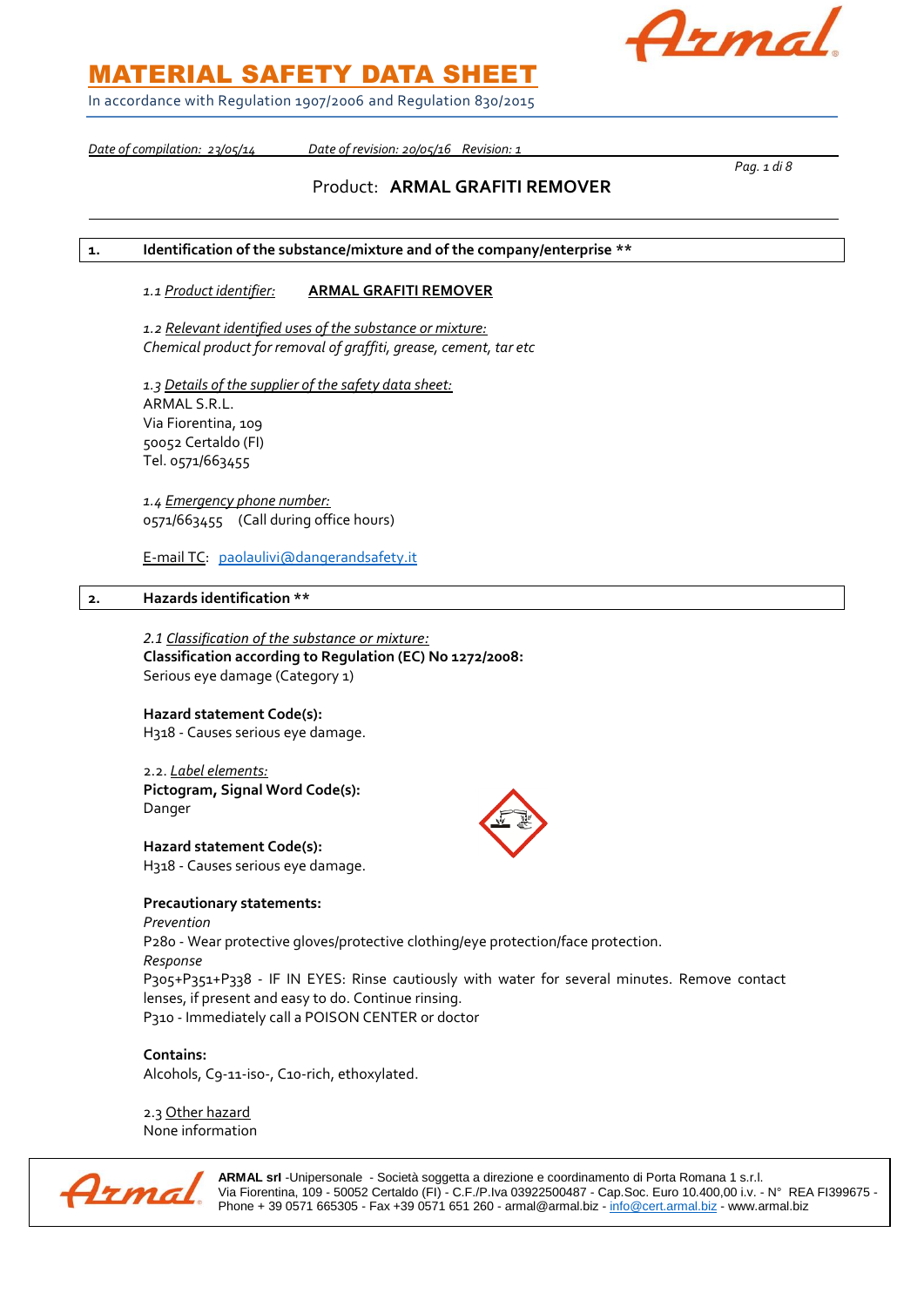Azmal

In accordance with Regulation 1907/2006 and Regulation 830/2015

*Date of compilation: 23/05/14 Date of revision: 20/05/16 Revision: 1* 

*Pag. 1 di 8*

## Product: **ARMAL GRAFITI REMOVER**

### **1. Identification of the substance/mixture and of the company/enterprise \*\***

### *1.1 Product identifier:* **ARMAL GRAFITI REMOVER**

*1.2 Relevant identified uses of the substance or mixture: Chemical product for removal of graffiti, grease, cement, tar etc*

*1.3 Details of the supplier of the safety data sheet:* ARMAL S.R.L. Via Fiorentina, 109 50052 Certaldo (FI) Tel. 0571/663455

*1.4 Emergency phone number:* 0571/663455 (Call during office hours)

E-mail TC: [paolaulivi@dangerandsafety.it](mailto:paolaulivi@dangerandsafety.it)

### **2. Hazards identification \*\***

*2.1 Classification of the substance or mixture:* **Classification according to Regulation (EC) No 1272/2008:** Serious eye damage (Category 1)

### **Hazard statement Code(s):**

H318 - Causes serious eye damage.

2.2. *Label elements:* **Pictogram, Signal Word Code(s):** Danger

**Hazard statement Code(s):** H318 - Causes serious eye damage.

**Precautionary statements:** *Prevention* P280 - Wear protective gloves/protective clothing/eye protection/face protection. *Response* P305+P351+P338 - IF IN EYES: Rinse cautiously with water for several minutes. Remove contact lenses, if present and easy to do. Continue rinsing. P310 - Immediately call a POISON CENTER or doctor

**Contains:** Alcohols, C9-11-iso-, C10-rich, ethoxylated.

2.3 Other hazard None information



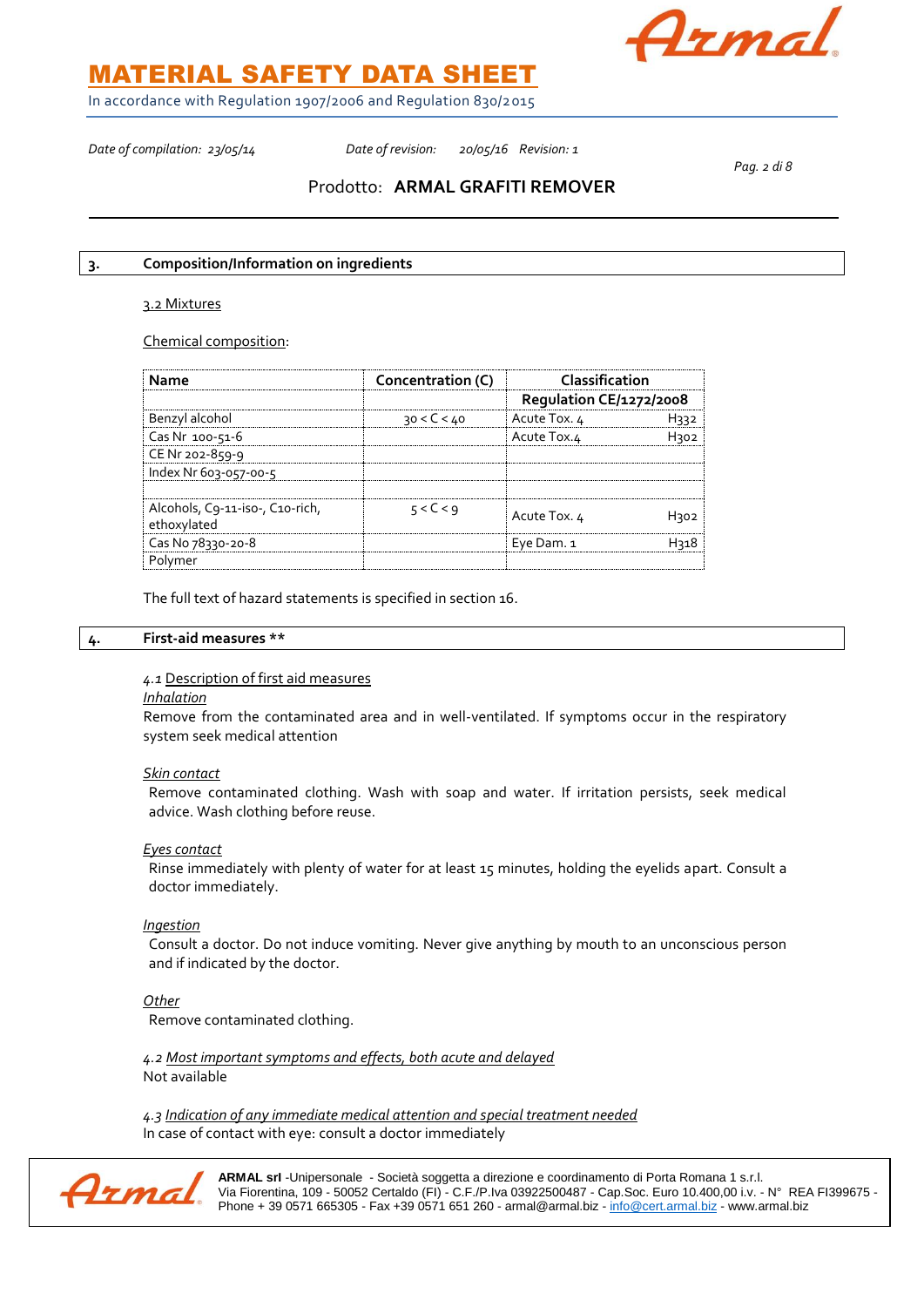

In accordance with Regulation 1907/2006 and Regulation 830/2015

*Date of compilation: 23/05/14 Date of revision: 20/05/16 Revision: 1* 

*Pag. 2 di 8*

### Prodotto: **ARMAL GRAFITI REMOVER**

### **3. Composition/Information on ingredients**

### 3.2 Mixtures

Chemical composition:

| Name                                           | Concentration (C) | Classification<br>Regulation CE/1272/2008 |  |
|------------------------------------------------|-------------------|-------------------------------------------|--|
|                                                |                   |                                           |  |
| Benzyl alcohol                                 | 30 < C < 40       | Acute Tox. 4                              |  |
| Cas Nr 100-51-6                                |                   | Acute Tox.4                               |  |
| CE Nr 202-859-9                                |                   |                                           |  |
| Index Nr 603-057-00-5                          |                   |                                           |  |
| Alcohols, C9-11-iso-, C10-rich,<br>ethoxylated | 5 < C < q         | Acute Tox. 4                              |  |
| Cas No 78330-20-8                              |                   | Eye Dam. 1                                |  |
| Polymer                                        |                   |                                           |  |

The full text of hazard statements is specified in section 16.

#### **4. First-aid measures \*\***

*4.1* Description of first aid measures

*Inhalation* 

Remove from the contaminated area and in well-ventilated. If symptoms occur in the respiratory system seek medical attention

#### *Skin contact*

Remove contaminated clothing. Wash with soap and water. If irritation persists, seek medical advice. Wash clothing before reuse.

### *Eyes contact*

Rinse immediately with plenty of water for at least 15 minutes, holding the eyelids apart. Consult a doctor immediately.

### *Ingestion*

Consult a doctor. Do not induce vomiting. Never give anything by mouth to an unconscious person and if indicated by the doctor.

*Other*

Remove contaminated clothing.

*4.2 Most important symptoms and effects, both acute and delayed* Not available

*4.3 Indication of any immediate medical attention and special treatment needed* In case of contact with eye: consult a doctor immediately

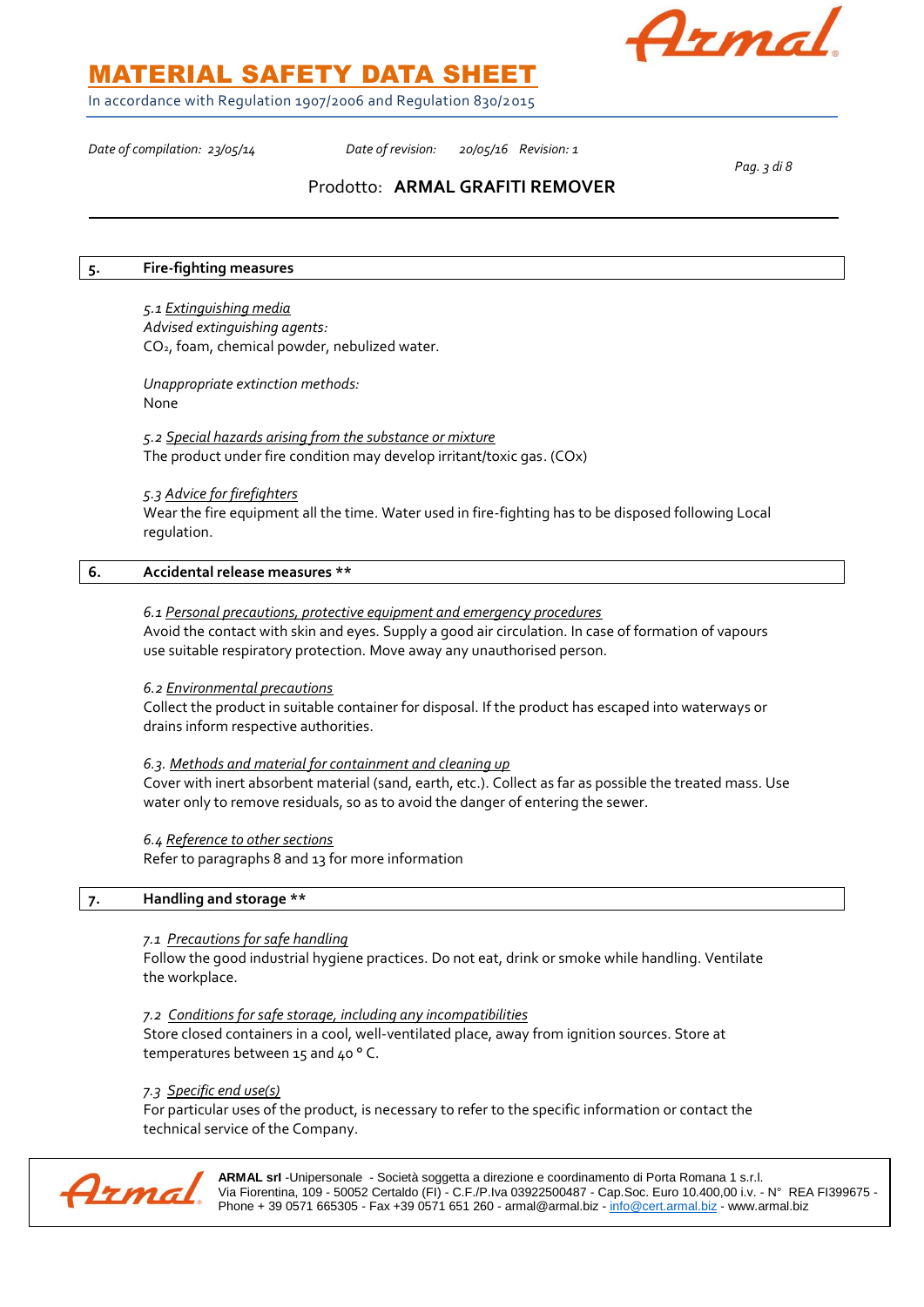

In accordance with Regulation 1907/2006 and Regulation 830/2015

*Date of compilation: 23/05/14 Date of revision: 20/05/16 Revision: 1* 

*Pag. 3 di 8*

### Prodotto: **ARMAL GRAFITI REMOVER**

#### **5. Fire-fighting measures**

*5.1 Extinguishing media Advised extinguishing agents:* CO2, foam, chemical powder, nebulized water.

*Unappropriate extinction methods:* None

*5.2 Special hazards arising from the substance or mixture* The product under fire condition may develop irritant/toxic gas. (COx)

### *5.3 Advice for firefighters*

Wear the fire equipment all the time. Water used in fire-fighting has to be disposed following Local regulation.

### **6. Accidental release measures \*\***

### *6.1 Personal precautions, protective equipment and emergency procedures*

Avoid the contact with skin and eyes. Supply a good air circulation. In case of formation of vapours use suitable respiratory protection. Move away any unauthorised person.

#### *6.2 Environmental precautions*

Collect the product in suitable container for disposal. If the product has escaped into waterways or drains inform respective authorities.

### *6.3. Methods and material for containment and cleaning up*

Cover with inert absorbent material (sand, earth, etc.). Collect as far as possible the treated mass. Use water only to remove residuals, so as to avoid the danger of entering the sewer.

### *6.4 Reference to other sections*

Refer to paragraphs 8 and 13 for more information

### **7. Handling and storage \*\***

### *7.1 Precautions for safe handling*

Follow the good industrial hygiene practices. Do not eat, drink or smoke while handling. Ventilate the workplace.

#### *7.2 Conditions for safe storage, including any incompatibilities*

Store closed containers in a cool, well-ventilated place, away from ignition sources. Store at temperatures between 15 and 40 ° C.

### *7.3 Specific end use(s)*

For particular uses of the product, is necessary to refer to the specific information or contact the technical service of the Company.

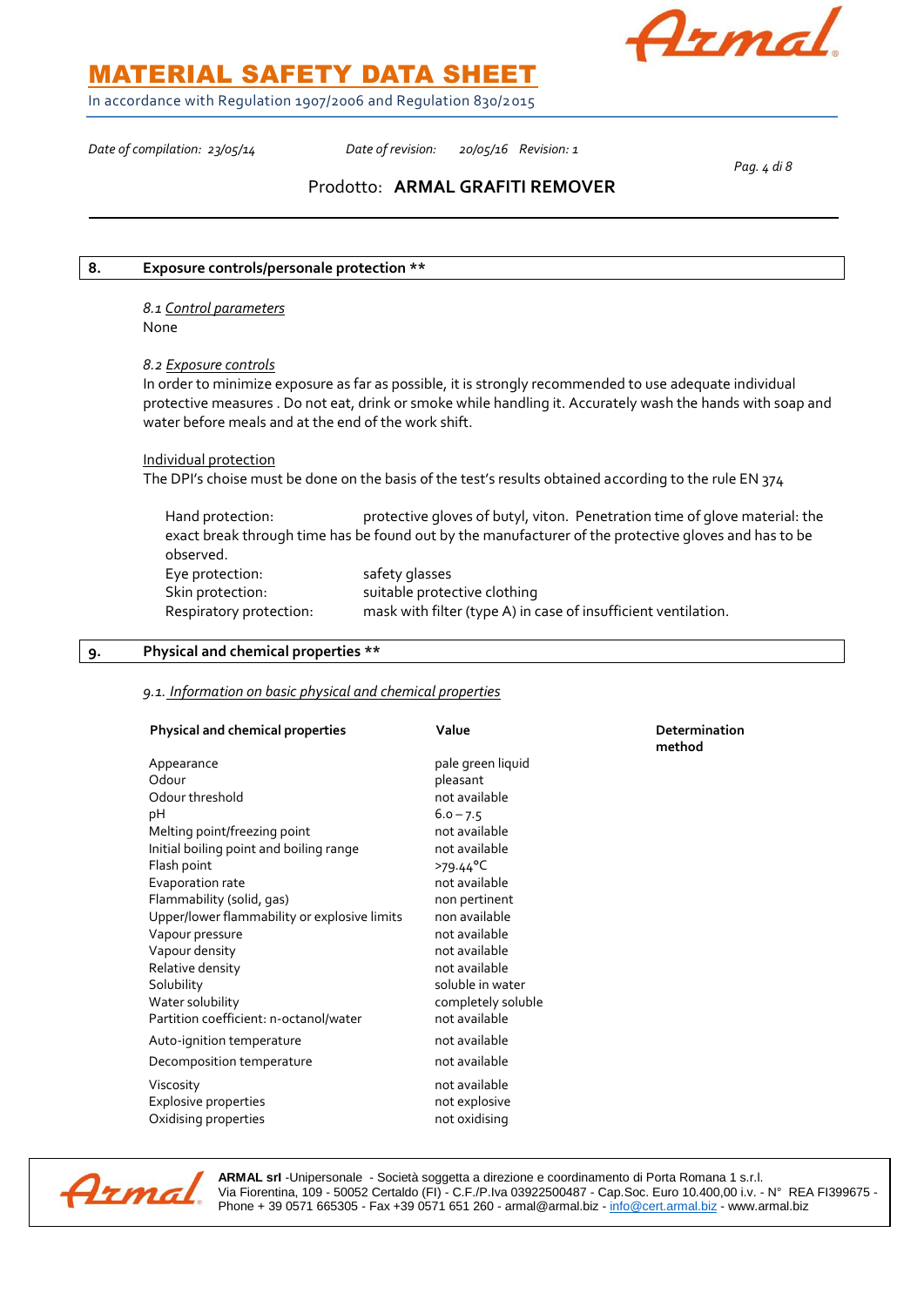

In accordance with Regulation 1907/2006 and Regulation 830/2015

*Date of compilation: 23/05/14 Date of revision: 20/05/16 Revision: 1* 

*Pag. 4 di 8*

### Prodotto: **ARMAL GRAFITI REMOVER**

### **8. Exposure controls/personale protection \*\***

*8.1 Control parameters* None

### *8.2 Exposure controls*

In order to minimize exposure as far as possible, it is strongly recommended to use adequate individual protective measures . Do not eat, drink or smoke while handling it. Accurately wash the hands with soap and water before meals and at the end of the work shift.

### Individual protection

The DPI's choise must be done on the basis of the test's results obtained according to the rule EN 374

Hand protection: protective gloves of butyl, viton. Penetration time of glove material: the exact break through time has be found out by the manufacturer of the protective gloves and has to be observed. Eye protection: safety glasses Skin protection: suitable protective clothing Respiratory protection: mask with filter (type A) in case of insufficient ventilation.

### **9. Physical and chemical properties \*\***

### *9.1. Information on basic physical and chemical properties*

| <b>Physical and chemical properties</b>                                                                                                                                                                                                                                                          | Value                                                                                                                                                                                                                      | Determination<br>method |
|--------------------------------------------------------------------------------------------------------------------------------------------------------------------------------------------------------------------------------------------------------------------------------------------------|----------------------------------------------------------------------------------------------------------------------------------------------------------------------------------------------------------------------------|-------------------------|
| Appearance<br>Odour<br>Odour threshold<br>pH<br>Melting point/freezing point<br>Initial boiling point and boiling range<br>Flash point<br>Evaporation rate<br>Flammability (solid, gas)<br>Upper/lower flammability or explosive limits<br>Vapour pressure<br>Vapour density<br>Relative density | pale green liquid<br>pleasant<br>not available<br>$6.0 - 7.5$<br>not available<br>not available<br>$>79.44^{\circ}C$<br>not available<br>non pertinent<br>non available<br>not available<br>not available<br>not available |                         |
| Solubility<br>Water solubility<br>Partition coefficient: n-octanol/water<br>Auto-ignition temperature                                                                                                                                                                                            | soluble in water<br>completely soluble<br>not available<br>not available                                                                                                                                                   |                         |
| Decomposition temperature                                                                                                                                                                                                                                                                        | not available                                                                                                                                                                                                              |                         |
| Viscosity<br>Explosive properties<br>Oxidising properties                                                                                                                                                                                                                                        | not available<br>not explosive<br>not oxidising                                                                                                                                                                            |                         |

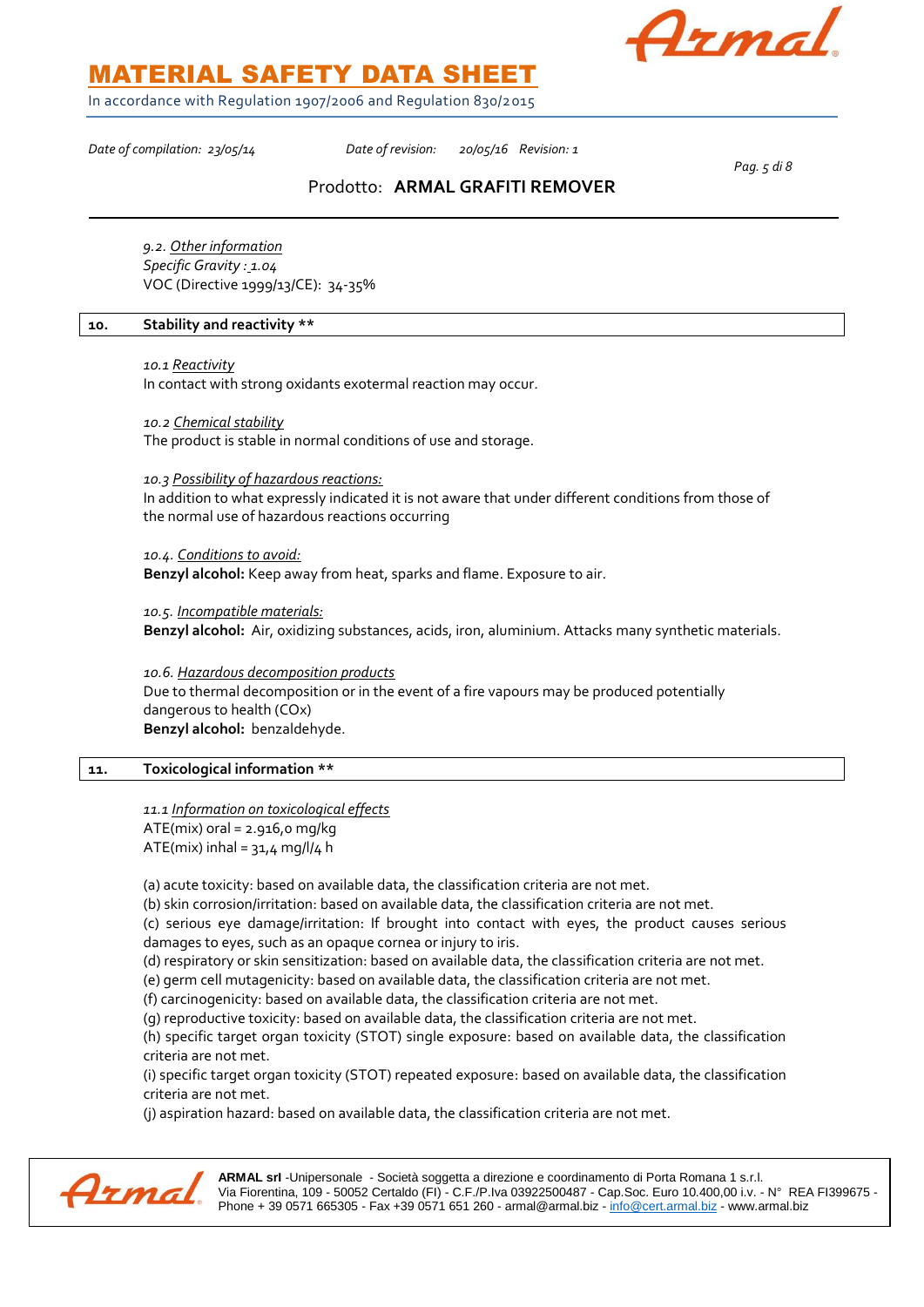

In accordance with Regulation 1907/2006 and Regulation 830/2015

*Date of compilation: 23/05/14 Date of revision: 20/05/16 Revision: 1* 

*Pag. 5 di 8*

### Prodotto: **ARMAL GRAFITI REMOVER**

*9.2. Other information Specific Gravity : 1.04* VOC (Directive 1999/13/CE): 34-35%

### **10. Stability and reactivity \*\***

*10.1 Reactivity* 

In contact with strong oxidants exotermal reaction may occur.

*10.2 Chemical stability*

The product is stable in normal conditions of use and storage.

*10.3 Possibility of hazardous reactions:*

In addition to what expressly indicated it is not aware that under different conditions from those of the normal use of hazardous reactions occurring

*10.4. Conditions to avoid:*

**Benzyl alcohol:** Keep away from heat, sparks and flame. Exposure to air.

*10.5. Incompatible materials:* **Benzyl alcohol:** Air, oxidizing substances, acids, iron, aluminium. Attacks many synthetic materials.

*10.6. Hazardous decomposition products* Due to thermal decomposition or in the event of a fire vapours may be produced potentially dangerous to health (COx) **Benzyl alcohol:** benzaldehyde.

### **11. Toxicological information \*\***

*11.1 Information on toxicological effects*  $ATE(mix)$  oral = 2.916,0 mg/kg ATE(mix) inhal =  $31.4$  mg/l/4 h

(a) acute toxicity: based on available data, the classification criteria are not met.

(b) skin corrosion/irritation: based on available data, the classification criteria are not met.

(c) serious eye damage/irritation: If brought into contact with eyes, the product causes serious damages to eyes, such as an opaque cornea or injury to iris.

(d) respiratory or skin sensitization: based on available data, the classification criteria are not met.

(e) germ cell mutagenicity: based on available data, the classification criteria are not met.

(f) carcinogenicity: based on available data, the classification criteria are not met.

(g) reproductive toxicity: based on available data, the classification criteria are not met.

(h) specific target organ toxicity (STOT) single exposure: based on available data, the classification criteria are not met.

(i) specific target organ toxicity (STOT) repeated exposure: based on available data, the classification criteria are not met.

(j) aspiration hazard: based on available data, the classification criteria are not met.

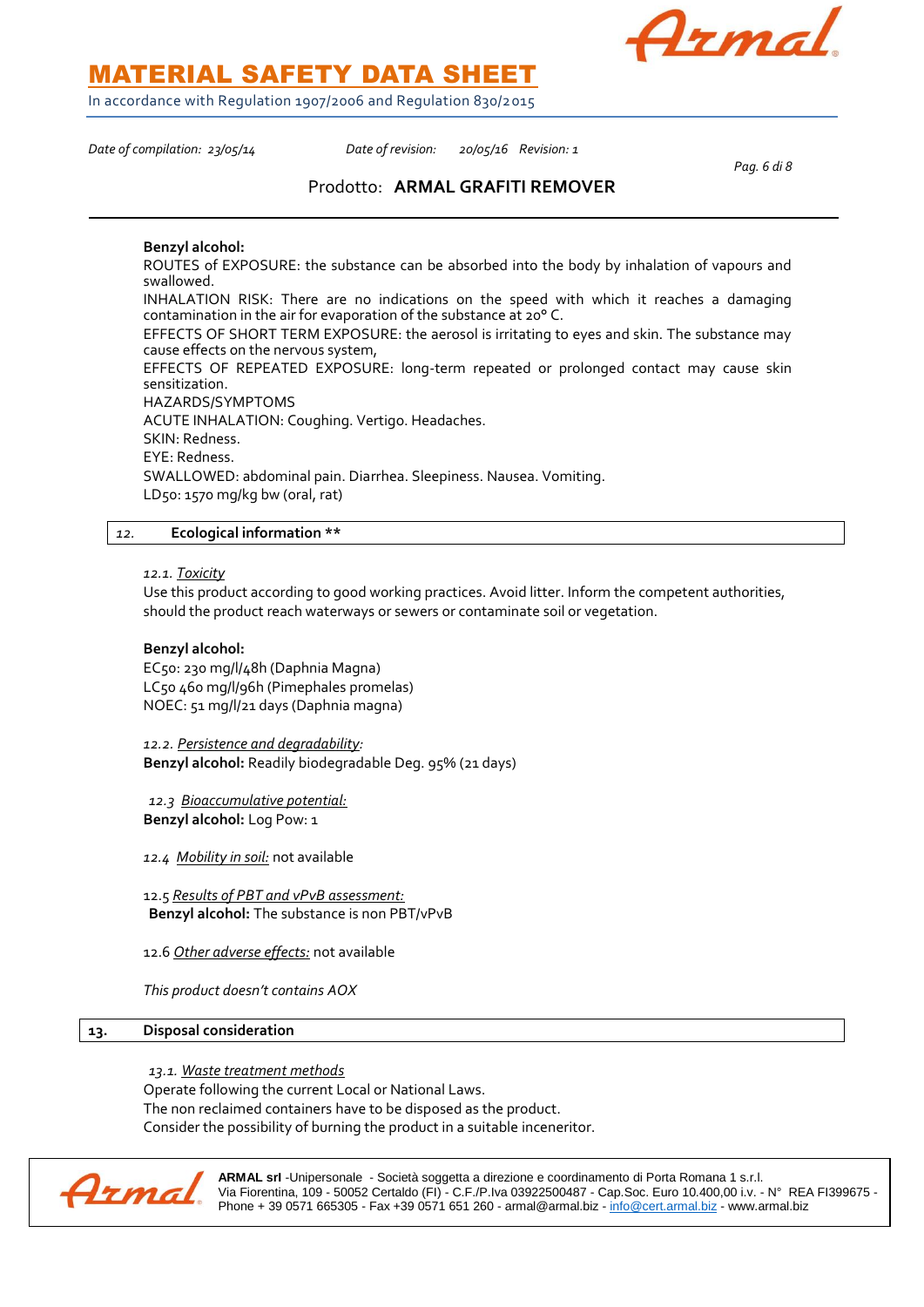Armal

MATERIAL SAFETY DATA SHEET

In accordance with Regulation 1907/2006 and Regulation 830/2015

*Date of compilation: 23/05/14 Date of revision: 20/05/16 Revision: 1* 

*Pag. 6 di 8*

### Prodotto: **ARMAL GRAFITI REMOVER**

### **Benzyl alcohol:**

ROUTES of EXPOSURE: the substance can be absorbed into the body by inhalation of vapours and swallowed.

INHALATION RISK: There are no indications on the speed with which it reaches a damaging contamination in the air for evaporation of the substance at 20° C.

EFFECTS OF SHORT TERM EXPOSURE: the aerosol is irritating to eyes and skin. The substance may cause effects on the nervous system,

EFFECTS OF REPEATED EXPOSURE: long-term repeated or prolonged contact may cause skin sensitization.

HAZARDS/SYMPTOMS

ACUTE INHALATION: Coughing. Vertigo. Headaches. SKIN: Redness.

EYE: Redness.

SWALLOWED: abdominal pain. Diarrhea. Sleepiness. Nausea. Vomiting.

LD50: 1570 mg/kg bw (oral, rat)

### *12.* **Ecological information \*\***

*12.1. Toxicity*

Use this product according to good working practices. Avoid litter. Inform the competent authorities, should the product reach waterways or sewers or contaminate soil or vegetation.

### **Benzyl alcohol:**

EC50: 230 mg/l/48h (Daphnia Magna) LC50 460 mg/l/96h (Pimephales promelas) NOEC: 51 mg/l/21 days (Daphnia magna)

*12.2. Persistence and degradability:* **Benzyl alcohol:** Readily biodegradable Deg. 95% (21 days)

*12.3 Bioaccumulative potential:* **Benzyl alcohol:** Log Pow: 1

*12.4 Mobility in soil:* not available

12.5 *Results of PBT and vPvB assessment:* **Benzyl alcohol:** The substance is non PBT/vPvB

12.6 *Other adverse effects:* not available

*This product doesn't contains AOX*

### **13. Disposal consideration**

*13.1. Waste treatment methods*

Operate following the current Local or National Laws.

The non reclaimed containers have to be disposed as the product.

Consider the possibility of burning the product in a suitable inceneritor.

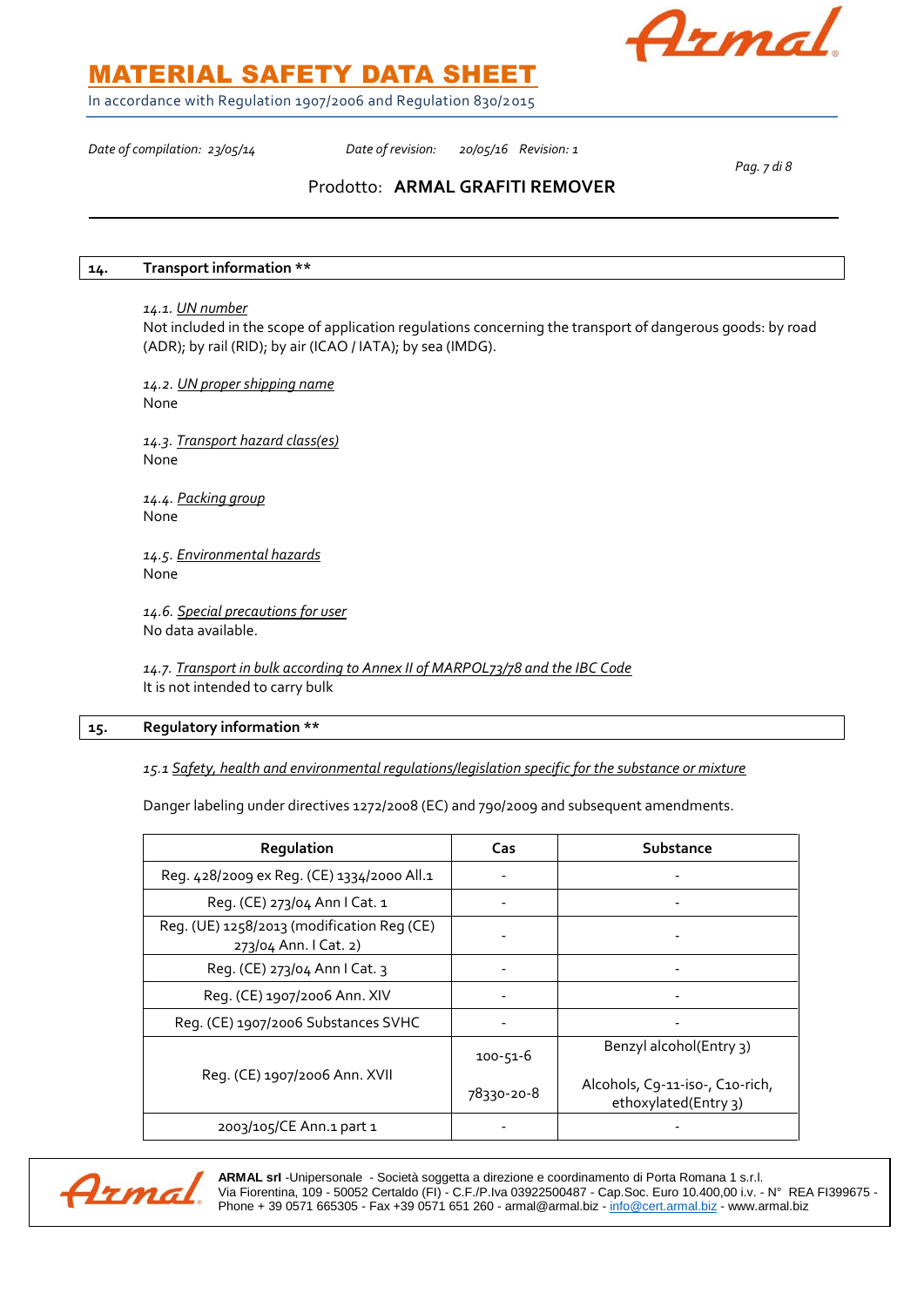

In accordance with Regulation 1907/2006 and Regulation 830/2015

*Date of compilation: 23/05/14 Date of revision: 20/05/16 Revision: 1* 

*Pag. 7 di 8*

### Prodotto: **ARMAL GRAFITI REMOVER**

### **14. Transport information \*\***

### *14.1. UN number*

Not included in the scope of application regulations concerning the transport of dangerous goods: by road (ADR); by rail (RID); by air (ICAO / IATA); by sea (IMDG).

*14.2. UN proper shipping name* None

*14.3. Transport hazard class(es)* None

*14.4. Packing group* None

*14.5. Environmental hazards* None

*14.6. Special precautions for user* No data available.

*14.7. Transport in bulk according to Annex II of MARPOL73/78 and the IBC Code* It is not intended to carry bulk

### **15. Regulatory information \*\***

*15.1 Safety, health and environmental regulations/legislation specific for the substance or mixture*

Danger labeling under directives 1272/2008 (EC) and 790/2009 and subsequent amendments.

| Regulation                                                          | Cas            | Substance                                               |
|---------------------------------------------------------------------|----------------|---------------------------------------------------------|
| Reg. 428/2009 ex Reg. (CE) 1334/2000 All.1                          |                |                                                         |
| Reg. (CE) 273/04 Ann I Cat. 1                                       |                |                                                         |
| Reg. (UE) 1258/2013 (modification Reg (CE)<br>273/04 Ann. I Cat. 2) |                |                                                         |
| Reg. (CE) 273/04 Ann I Cat. 3                                       |                |                                                         |
| Reg. (CE) 1907/2006 Ann. XIV                                        |                |                                                         |
| Reg. (CE) 1907/2006 Substances SVHC                                 |                |                                                         |
|                                                                     | $100 - 51 - 6$ | Benzyl alcohol(Entry 3)                                 |
| Reg. (CE) 1907/2006 Ann. XVII                                       | 78330-20-8     | Alcohols, C9-11-iso-, C10-rich,<br>ethoxylated(Entry 3) |
| 2003/105/CE Ann.1 part 1                                            |                |                                                         |